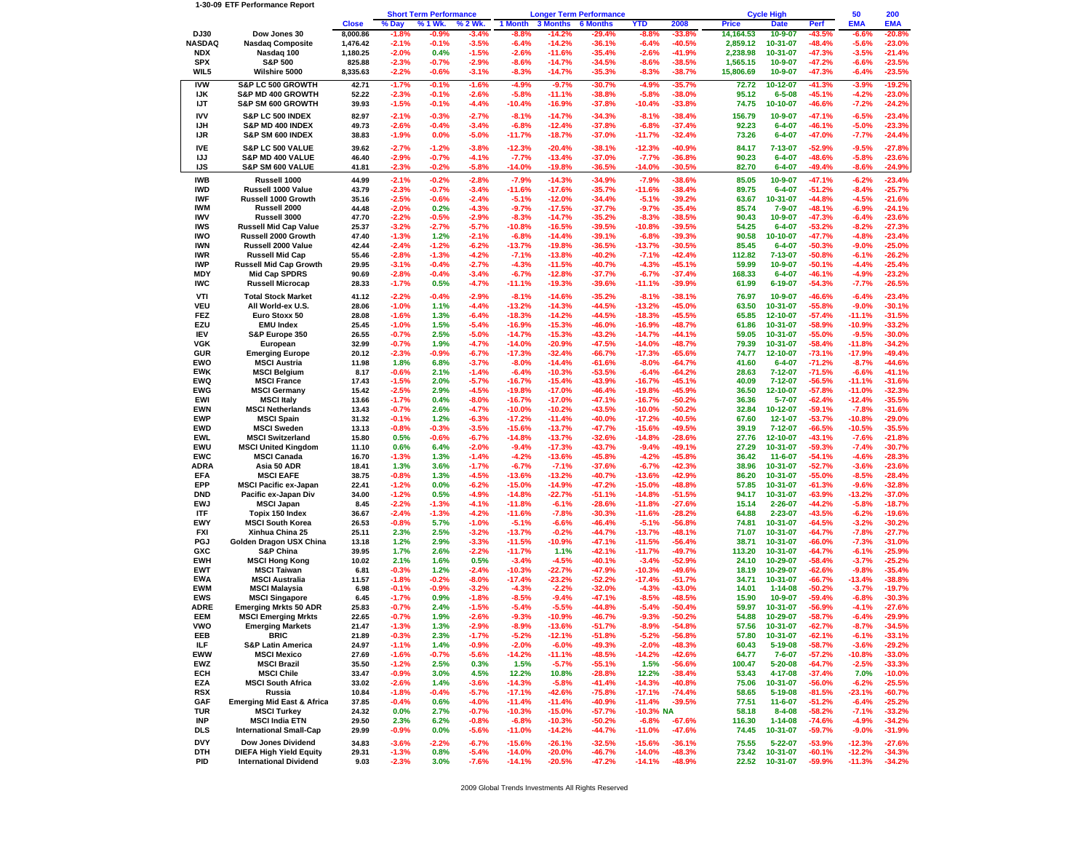## **1-30-09 ETF Performance Report**

|                           |                                                       |                    | <b>Short Term Performance</b> |                    | <b>Longer Term Performance</b> |                      |                      |                      | <b>Cycle High</b>    |                      |                       |                         | 50                   | 200                 |                       |
|---------------------------|-------------------------------------------------------|--------------------|-------------------------------|--------------------|--------------------------------|----------------------|----------------------|----------------------|----------------------|----------------------|-----------------------|-------------------------|----------------------|---------------------|-----------------------|
|                           |                                                       | <b>Close</b>       | % Day                         | % 1 Wk.            | 6 2 Wk.                        | 1 Month              | <b>3 Months</b>      | <b>6 Months</b>      | YTD                  | 2008                 | <b>Price</b>          | <b>Date</b>             | Perf                 | <b>EMA</b>          | <b>EMA</b>            |
| DJ30                      | Dow Jones 30                                          | 8,000.86           | -1.8%                         | -0.9%              | -3.4%                          | -8.8%                | -14.2%               | -29.4%               | -8.8%                | -33.8%               | 14,164.53             | 10-9-07                 | -43.5%               | -6.6%               | -20.8%                |
| NASDAQ                    | <b>Nasdaq Composite</b>                               | 1,476.42           | $-2.1%$                       | $-0.1%$            | $-3.5%$                        | $-6.4%$              | $-14.2%$             | $-36.1%$             | $-6.4%$              | $-40.5%$             | 2,859.12              | 10-31-07                | $-48.4%$             | $-5.6%$             | $-23.0%$              |
| <b>NDX</b>                | Nasdaq 100                                            | 1,180.25           | $-2.0%$                       | 0.4%               | $-1.5%$                        | $-2.6%$              | $-11.6%$             | $-35.4%$             | $-2.6%$              | -41.9%               | 2,238.98              | 10-31-07                | $-47.3%$             | $-3.5%$             | -21.4%                |
| <b>SPX</b><br>WIL5        | <b>S&amp;P 500</b><br>Wilshire 5000                   | 825.88<br>8,335.63 | $-2.3%$<br>$-2.2%$            | $-0.7%$<br>$-0.6%$ | $-2.9%$<br>$-3.1%$             | $-8.6%$<br>$-8.3%$   | $-14.7%$<br>$-14.7%$ | $-34.5%$<br>$-35.3%$ | $-8.6%$<br>$-8.3%$   | $-38.5%$<br>$-38.7%$ | 1,565.15<br>15,806.69 | 10-9-07<br>10-9-07      | $-47.2%$<br>-47.3%   | $-6.6%$<br>$-6.4%$  | $-23.5%$<br>$-23.5%$  |
|                           |                                                       |                    |                               |                    |                                |                      |                      |                      |                      |                      |                       |                         |                      |                     |                       |
| <b>IVW</b>                | S&P LC 500 GROWTH                                     | 42.71              | $-1.7%$                       | $-0.1%$            | $-1.6%$                        | $-4.9%$              | $-9.7%$              | $-30.7%$             | $-4.9%$              | $-35.7%$             | 72.72                 | 10-12-07                | $-41.3%$             | $-3.9%$             | $-19.2%$              |
| IJK                       | S&P MD 400 GROWTH                                     | 52.22              | $-2.3%$                       | $-0.1%$            | $-2.6%$                        | $-5.8%$              | $-11.1%$             | $-38.8%$             | $-5.8%$              | $-38.0%$             | 95.12                 | $6 - 5 - 08$            | $-45.1%$             | $-4.2%$             | $-23.0\%$             |
| IJT                       | S&P SM 600 GROWTH                                     | 39.93              | $-1.5%$                       | $-0.1%$            | $-4.4%$                        | $-10.4%$             | $-16.9%$             | $-37.8%$             | $-10.4%$             | $-33.8%$             | 74.75                 | 10-10-07                | $-46.6%$             | $-7.2%$             | $-24.2%$              |
| <b>IVV</b>                | S&P LC 500 INDEX                                      | 82.97              | $-2.1%$                       | $-0.3%$            | $-2.7%$                        | $-8.1%$              | $-14.7%$             | $-34.3%$             | $-8.1%$              | $-38.4%$             | 156.79                | $10 - 9 - 07$           | $-47.1%$             | $-6.5%$             | $-23.4%$              |
| IJН                       | S&P MD 400 INDEX                                      | 49.73              | $-2.6%$                       | $-0.4%$            | $-3.4%$                        | $-6.8%$              | $-12.4%$             | $-37.8%$             | $-6.8%$              | $-37.4%$             | 92.23                 | $6 - 4 - 07$            | $-46.1%$             | $-5.0%$             | $-23.3%$              |
| IJR                       | S&P SM 600 INDEX                                      | 38.83              | $-1.9%$                       | 0.0%               | $-5.0%$                        | -11.7%               | $-18.7%$             | $-37.0%$             | -11.7%               | $-32.4%$             | 73.26                 | $6 - 4 - 07$            | $-47.0%$             | $-7.7%$             | -24.4%                |
| <b>IVE</b>                | S&P LC 500 VALUE                                      | 39.62              | $-2.7%$                       | $-1.2%$            | $-3.8%$                        | $-12.3%$             | $-20.4%$             | $-38.1%$             | $-12.3%$             | -40.9%               | 84.17                 | 7-13-07                 | $-52.9%$             | $-9.5%$             | $-27.8%$              |
| IJJ                       | S&P MD 400 VALUE                                      | 46.40              | $-2.9%$                       | $-0.7%$            | $-4.1%$                        | $-7.7%$              | $-13.4%$             | $-37.0%$             | $-7.7%$              | $-36.8%$             | 90.23                 | $6 - 4 - 07$            | $-48.6%$             | $-5.8%$             | $-23.6%$              |
| IJS                       | S&P SM 600 VALUE                                      | 41.81              | $-2.3%$                       | $-0.2%$            | $-5.8%$                        | $-14.0%$             | $-19.8%$             | $-36.5%$             | $-14.0%$             | $-30.5%$             | 82.70                 | $6 - 4 - 07$            | $-49.4%$             | $-8.6%$             | $-24.9%$              |
| <b>IWB</b>                | Russell 1000                                          | 44.99              | $-2.1%$                       | $-0.2%$            | $-2.8%$                        | $-7.9%$              | $-14.3%$             | $-34.9%$             | $-7.9%$              | $-38.6%$             | 85.05                 | $10 - 9 - 07$           | $-47.1%$             | $-6.2%$             | $-23.4%$              |
| <b>IWD</b>                | Russell 1000 Value                                    | 43.79              | $-2.3%$                       | $-0.7%$            | $-3.4%$                        | -11.6%               | $-17.6%$             | $-35.7%$             | -11.6%               | $-38.4%$             | 89.75                 | $6 - 4 - 07$            | $-51.2%$             | $-8.4%$             | $-25.7%$              |
| IWF                       | Russell 1000 Growth                                   | 35.16              | $-2.5%$                       | $-0.6%$            | $-2.4%$                        | $-5.1%$              | $-12.0%$             | $-34.4%$             | $-5.1%$              | $-39.2%$             | 63.67                 | 10-31-07                | $-44.8%$             | $-4.5%$             | -21.6%                |
| <b>IWM</b>                | Russell 2000                                          | 44.48              | $-2.0%$                       | 0.2%               | $-4.3%$                        | $-9.7%$              | $-17.5%$             | $-37.7%$             | $-9.7%$              | $-35.4%$             | 85.74                 | $7 - 9 - 07$            | -48.1%               | $-6.9%$             | -24.1%                |
| <b>IWV</b>                | Russell 3000                                          | 47.70              | $-2.2%$                       | $-0.5%$            | $-2.9%$                        | $-8.3%$              | $-14.7%$             | $-35.2%$             | $-8.3%$              | $-38.5%$             | 90.43                 | $10 - 9 - 07$           | $-47.3%$             | $-6.4%$             | $-23.6%$              |
| <b>IWS</b>                | <b>Russell Mid Cap Value</b>                          | 25.37              | $-3.2%$                       | $-2.7%$            | $-5.7%$                        | $-10.8%$             | $-16.5%$             | $-39.5%$             | $-10.8%$             | $-39.5%$             | 54.25                 | $6 - 4 - 07$            | $-53.2%$             | $-8.2%$             | $-27.3%$              |
| <b>IWO</b>                | Russell 2000 Growth                                   | 47.40              | $-1.3%$                       | 1.2%               | $-2.1%$                        | $-6.8%$              | $-14.4%$             | $-39.1%$             | $-6.8%$              | $-39.3%$             | 90.58                 | 10-10-07                | -47.7%               | $-4.8%$             | $-23.4%$              |
| <b>IWN</b>                | Russell 2000 Value                                    | 42.44              | $-2.4%$                       | $-1.2%$            | $-6.2%$                        | $-13.7%$             | $-19.8%$             | $-36.5%$             | -13.7%               | $-30.5%$             | 85.45                 | $6 - 4 - 07$            | $-50.3%$             | $-9.0%$             | $-25.0%$              |
| <b>IWR</b>                | <b>Russell Mid Cap</b>                                | 55.46              | $-2.8%$                       | $-1.3%$            | $-4.2%$                        | $-7.1%$              | $-13.8%$             | $-40.2%$             | $-7.1%$              | $-42.4%$             | 112.82                | 7-13-07                 | $-50.8%$             | $-6.1%$             | $-26.2%$              |
| <b>IWP</b><br>MDY         | <b>Russell Mid Cap Growth</b><br><b>Mid Cap SPDRS</b> | 29.95<br>90.69     | $-3.1%$<br>$-2.8%$            | $-0.4%$<br>$-0.4%$ | $-2.7%$<br>$-3.4%$             | $-4.3%$<br>$-6.7%$   | $-11.5%$<br>$-12.8%$ | -40.7%<br>$-37.7%$   | $-4.3%$<br>$-6.7%$   | $-45.1%$<br>$-37.4%$ | 59.99<br>168.33       | 10-9-07<br>$6 - 4 - 07$ | $-50.1%$<br>-46.1%   | $-4.4%$<br>$-4.9%$  | $-25.4%$<br>$-23.2%$  |
| <b>IWC</b>                | <b>Russell Microcap</b>                               | 28.33              | $-1.7%$                       | 0.5%               | $-4.7%$                        | $-11.1%$             | $-19.3%$             | $-39.6%$             | $-11.1%$             | -39.9%               | 61.99                 | 6-19-07                 | $-54.3%$             | $-7.7%$             | $-26.5%$              |
|                           |                                                       |                    |                               |                    |                                |                      |                      |                      |                      |                      |                       |                         |                      |                     |                       |
| VTI                       | <b>Total Stock Market</b>                             | 41.12              | $-2.2%$                       | $-0.4%$            | $-2.9%$                        | $-8.1%$              | $-14.6%$             | $-35.2%$             | $-8.1%$              | $-38.1%$             | 76.97                 | 10-9-07                 | $-46.6%$             | $-6.4%$             | $-23.4%$              |
| <b>VEU</b>                | All World-ex U.S.                                     | 28.06              | $-1.0%$                       | 1.1%               | $-4.4%$                        | $-13.2%$             | $-14.3%$             | -44.5%               | $-13.2%$             | -45.0%               | 63.50                 | 10-31-07                | $-55.8%$             | $-9.0%$             | $-30.1%$              |
| <b>FEZ</b><br>EZU         | Euro Stoxx 50                                         | 28.08              | $-1.6%$                       | 1.3%               | $-6.4%$                        | $-18.3%$             | $-14.2%$             | -44.5%               | $-18.3%$             | $-45.5%$             | 65.85                 | 12-10-07                | $-57.4%$             | $-11.1%$            | $-31.5%$              |
| <b>IEV</b>                | <b>EMU Index</b><br>S&P Europe 350                    | 25.45<br>26.55     | $-1.0%$<br>$-0.7%$            | 1.5%<br>2.5%       | $-5.4%$<br>$-5.0%$             | $-16.9%$<br>$-14.7%$ | $-15.3%$<br>$-15.3%$ | -46.0%<br>$-43.2%$   | $-16.9%$<br>$-14.7%$ | $-48.7%$<br>-44.1%   | 61.86<br>59.05        | 10-31-07<br>10-31-07    | $-58.9%$<br>$-55.0%$ | $-10.9%$<br>$-9.5%$ | $-33.2%$<br>$-30.0\%$ |
| <b>VGK</b>                | European                                              | 32.99              | $-0.7%$                       | 1.9%               | $-4.7%$                        | $-14.0%$             | $-20.9%$             | -47.5%               | -14.0%               | -48.7%               | 79.39                 | 10-31-07                | $-58.4%$             | $-11.8%$            | $-34.2%$              |
| <b>GUR</b>                | <b>Emerging Europe</b>                                | 20.12              | $-2.3%$                       | $-0.9%$            | $-6.7%$                        | $-17.3%$             | $-32.4%$             | $-66.7%$             | $-17.3%$             | $-65.6%$             | 74.77                 | 12-10-07                | $-73.1%$             | $-17.9%$            | $-49.4%$              |
| EWO                       | <b>MSCI Austria</b>                                   | 11.98              | 1.8%                          | 6.8%               | $-3.7%$                        | $-8.0%$              | $-14.4%$             | $-61.6%$             | $-8.0%$              | $-64.7%$             | 41.60                 | $6 - 4 - 07$            | $-71.2%$             | $-8.7%$             | -44.6%                |
| <b>EWK</b>                | <b>MSCI Belgium</b>                                   | 8.17               | $-0.6%$                       | 2.1%               | $-1.4%$                        | $-6.4%$              | $-10.3%$             | $-53.5%$             | $-6.4%$              | $-64.2%$             | 28.63                 | $7 - 12 - 07$           | $-71.5%$             | $-6.6%$             | -41.1%                |
| <b>EWQ</b>                | <b>MSCI France</b>                                    | 17.43              | $-1.5%$                       | 2.0%               | $-5.7%$                        | $-16.7%$             | $-15.4%$             | -43.9%               | $-16.7%$             | -45.1%               | 40.09                 | 7-12-07                 | $-56.5%$             | $-11.1%$            | $-31.6%$              |
| <b>EWG</b>                | <b>MSCI Germany</b>                                   | 15.42              | $-2.5%$                       | 2.9%               | $-4.5%$                        | $-19.8%$             | $-17.0%$             | -46.4%               | -19.8%               | $-45.9%$             | 36.50                 | 12-10-07                | $-57.8%$             | $-11.0%$            | $-32.3%$              |
| EWI                       | <b>MSCI Italv</b>                                     | 13.66              | $-1.7%$                       | 0.4%               | $-8.0%$                        | $-16.7%$             | $-17.0%$             | -47.1%               | $-16.7%$             | $-50.2%$             | 36.36                 | $5 - 7 - 07$            | $-62.4%$             | $-12.4%$            | $-35.5%$              |
| <b>EWN</b>                | <b>MSCI Netherlands</b>                               | 13.43              | $-0.7%$                       | 2.6%               | $-4.7%$                        | $-10.0%$             | $-10.2%$             | -43.5%               | -10.0%               | -50.2%               | 32.84                 | 10-12-07                | $-59.1%$             | $-7.8%$             | $-31.6%$              |
| <b>EWP</b>                | <b>MSCI Spain</b>                                     | 31.32              | $-0.1%$                       | 1.2%               | $-6.3%$                        | $-17.2%$             | $-11.4%$             | -40.0%               | $-17.2%$             | -40.5%               | 67.60                 | $12 - 1 - 07$           | $-53.7%$             | $-10.8%$            | $-29.0\%$             |
| <b>EWD</b>                | <b>MSCI Sweden</b>                                    | 13.13              | $-0.8%$                       | $-0.3%$            | $-3.5%$                        | $-15.6%$             | $-13.7%$             | -47.7%               | $-15.6%$             | $-49.5%$             | 39.19                 | $7 - 12 - 07$           | $-66.5%$             | $-10.5%$            | $-35.5%$              |
| <b>EWL</b>                | <b>MSCI Switzerland</b>                               | 15.80              | 0.5%                          | $-0.6%$            | $-6.7%$                        | $-14.8%$             | $-13.7%$             | $-32.6%$             | $-14.8%$             | $-28.6%$             | 27.76                 | 12-10-07                | $-43.1%$             | $-7.6%$             | -21.8%                |
| EWU                       | <b>MSCI United Kingdom</b>                            | 11.10              | 0.6%                          | 6.4%               | $-2.0%$                        | $-9.4%$              | $-17.3%$             | $-43.7%$             | $-9.4%$              | -49.1%               | 27.29                 | 10-31-07                | $-59.3%$             | $-7.4%$             | $-30.7%$              |
| <b>EWC</b>                | MSCI Canada                                           | 16.70              | $-1.3%$                       | 1.3%               | $-1.4%$                        | $-4.2%$              | $-13.6%$             | $-45.8%$             | $-4.2%$              | -45.8%               | 36.42                 | $11 - 6 - 07$           | $-54.1%$             | $-4.6%$             | $-28.3%$              |
| <b>ADRA</b>               | Asia 50 ADR                                           | 18.41              | 1.3%                          | 3.6%               | $-1.7%$                        | $-6.7%$              | $-7.1%$              | $-37.6%$             | $-6.7%$              | $-42.3%$             | 38.96                 | 10-31-07                | $-52.7%$             | $-3.6%$             | $-23.6%$              |
| <b>EFA</b>                | <b>MSCI EAFE</b>                                      | 38.75              | $-0.8%$                       | 1.3%               | $-4.5%$                        | $-13.6%$             | $-13.2%$             | -40.7%               | -13.6%               | -42.9%               | 86.20                 | 10-31-07                | $-55.0%$             | $-8.5%$             | $-28.4%$              |
| EPP<br><b>DND</b>         | <b>MSCI Pacific ex-Japan</b><br>Pacific ex-Japan Div  | 22.41<br>34.00     | $-1.2%$<br>$-1.2%$            | 0.0%<br>0.5%       | $-6.2%$<br>$-4.9%$             | $-15.0%$<br>$-14.8%$ | $-14.9%$<br>$-22.7%$ | $-47.2%$<br>$-51.1%$ | -15.0%<br>$-14.8%$   | $-48.8%$<br>$-51.5%$ | 57.85<br>94.17        | 10-31-07<br>10-31-07    | $-61.3%$<br>$-63.9%$ | $-9.6%$<br>$-13.2%$ | $-32.8%$<br>$-37.0%$  |
| <b>EWJ</b>                | <b>MSCI Japan</b>                                     | 8.45               | $-2.2%$                       | $-1.3%$            | $-4.1%$                        | $-11.8%$             | $-6.1%$              | $-28.6%$             | $-11.8%$             | $-27.6%$             | 15.14                 | $2 - 26 - 07$           | $-44.2%$             | $-5.8%$             | $-18.7%$              |
| ITF                       | Topix 150 Index                                       | 36.67              | $-2.4%$                       | $-1.3%$            | $-4.2%$                        | $-11.6%$             | $-7.8%$              | $-30.3%$             | $-11.6%$             | $-28.2%$             | 64.88                 | $2 - 23 - 07$           | $-43.5%$             | $-6.2%$             | -19.6%                |
| EWY                       | <b>MSCI South Korea</b>                               | 26.53              | $-0.8%$                       | 5.7%               | $-1.0%$                        | $-5.1%$              | $-6.6%$              | $-46.4%$             | $-5.1%$              | $-56.8%$             | 74.81                 | 10-31-07                | $-64.5%$             | $-3.2%$             | $-30.2%$              |
| <b>FXI</b>                | Xinhua China 25                                       | 25.11              | 2.3%                          | 2.5%               | $-3.2%$                        | $-13.7%$             | $-0.2%$              | -44.7%               | $-13.7%$             | -48.1%               | 71.07                 | 10-31-07                | $-64.7%$             | $-7.8%$             | $-27.7%$              |
| <b>PGJ</b>                | Golden Dragon USX China                               | 13.18              | 1.2%                          | 2.9%               | $-3.3%$                        | $-11.5%$             | $-10.9%$             | -47.1%               | -11.5%               | $-56.4%$             | 38.71                 | 10-31-07                | $-66.0%$             | $-7.3%$             | -31.0%                |
| GXC                       | <b>S&amp;P China</b>                                  | 39.95              | 1.7%                          | 2.6%               | $-2.2%$                        | -11.7%               | 1.1%                 | $-42.1%$             | -11.7%               | -49.7%               | 113.20                | 10-31-07                | $-64.7%$             | $-6.1%$             | $-25.9%$              |
| <b>EWH</b>                | <b>MSCI Hong Kong</b>                                 | 10.02              | 2.1%                          | 1.6%               | 0.5%                           | $-3.4%$              | $-4.5%$              | $-40.1%$             | $-3.4%$              | $-52.9%$             | 24.10                 | 10-29-07                | $-58.4%$             | $-3.7%$             | $-25.2%$              |
| <b>EWT</b>                | <b>MSCI Taiwan</b>                                    | 6.81               | $-0.3%$                       | 1.2%               | $-2.4%$                        | $-10.3%$             | $-22.7%$             | $-47.9%$             | $-10.3%$             | -49.6%               | 18.19                 | 10-29-07                | $-62.6%$             | $-9.8%$             | $-35.4%$              |
| <b>EWA</b>                | <b>MSCI Australia</b>                                 | 11.57              | $-1.8%$                       | $-0.2%$            | $-8.0%$                        | $-17.4%$             | $-23.2%$             | $-52.2%$             | -17.4%               | -51.7%               | 34.71                 | 10-31-07                | $-66.7%$             | $-13.4%$            | $-38.8%$              |
| <b>EWM</b>                | <b>MSCI Malaysia</b>                                  | 6.98               | $-0.1%$                       | $-0.9%$            | $-3.2%$                        | $-4.3%$              | $-2.2%$              | $-32.0%$             | $-4.3%$              | -43.0%               | 14.01                 | $1 - 14 - 08$           | $-50.2%$             | $-3.7%$             | -19.7%                |
| <b>EWS</b>                | <b>MSCI Singapore</b>                                 | 6.45               | $-1.7%$                       | 0.9%               | $-1.8%$                        | $-8.5%$              | $-9.4%$              | -47.1%               | $-8.5%$              | -48.5%               | 15.90                 | 10-9-07                 | -59.4%               | $-6.8%$             | $-30.3%$              |
| <b>ADRE</b><br><b>EEM</b> | <b>Emerging Mrkts 50 ADR</b>                          | 25.83              | $-0.7%$                       | 2.4%               | $-1.5%$                        | $-5.4%$<br>$-9.3%$   | $-5.5%$              | $-44.8%$             | $-5.4%$              | $-50.4%$             | 59.97                 | 10-31-07                | $-56.9%$             | $-4.1%$             | $-27.6%$              |
|                           | <b>MSCI Emerging Mrkts</b>                            | 22.65              | $-0.7%$                       | 1.9%               | $-2.6%$                        |                      | $-10.9%$             | -46.7%               | $-9.3%$              | $-50.2%$             | 54.88                 | 10-29-07                | $-58.7%$             | $-6.4%$             | $-29.9%$              |
| <b>VWO</b><br>EEB         | <b>Emerging Markets</b><br><b>BRIC</b>                | 21.47<br>21.89     | $-1.3%$<br>$-0.3%$            | 1.3%<br>2.3%       | $-2.9%$<br>$-1.7%$             | $-8.9%$<br>$-5.2%$   | $-13.6%$<br>$-12.1%$ | $-51.7%$<br>$-51.8%$ | $-8.9%$<br>$-5.2%$   | -54.8%<br>$-56.8%$   | 57.56<br>57.80        | 10-31-07<br>10-31-07    | $-62.7%$<br>$-62.1%$ | $-8.7%$<br>$-6.1%$  | $-34.5%$<br>$-33.1%$  |
| ILF                       | <b>S&amp;P Latin America</b>                          | 24.97              | $-1.1%$                       | 1.4%               | $-0.9%$                        | $-2.0%$              | $-6.0%$              | $-49.3%$             | $-2.0%$              | $-48.3%$             | 60.43                 | $5 - 19 - 08$           | $-58.7%$             | $-3.6%$             | $-29.2%$              |
| <b>EWW</b>                | <b>MSCI Mexico</b>                                    | 27.69              | $-1.6%$                       | $-0.7%$            | $-5.6%$                        | $-14.2%$             | -11.1%               | $-48.5%$             | $-14.2%$             | -42.6%               | 64.77                 | $7 - 6 - 07$            | $-57.2%$             | $-10.8%$            | $-33.0%$              |
| EWZ                       | <b>MSCI Brazil</b>                                    | 35.50              | $-1.2%$                       | 2.5%               | 0.3%                           | 1.5%                 | $-5.7%$              | $-55.1%$             | 1.5%                 | -56.6%               | 100.47                | $5 - 20 - 08$           | $-64.7%$             | $-2.5%$             | $-33.3%$              |
| ECH                       | <b>MSCI Chile</b>                                     | 33.47              | $-0.9%$                       | 3.0%               | 4.5%                           | 12.2%                | 10.8%                | $-28.8%$             | 12.2%                | $-38.4%$             | 53.43                 | 4-17-08                 | $-37.4%$             | 7.0%                | $-10.0%$              |
| EZA                       | <b>MSCI South Africa</b>                              | 33.02              | $-2.6%$                       | 1.4%               | $-3.6%$                        | $-14.3%$             | $-5.8%$              | -41.4%               | -14.3%               | -40.8%               | 75.06                 | 10-31-07                | $-56.0%$             | $-6.2%$             | $-25.5%$              |
| <b>RSX</b>                | Russia                                                | 10.84              | $-1.8%$                       | $-0.4%$            | $-5.7%$                        | $-17.1%$             | $-42.6%$             | $-75.8%$             | $-17.1%$             | $-74.4%$             | 58.65                 | $5 - 19 - 08$           | $-81.5%$             | $-23.1%$            | $-60.7%$              |
| GAF                       | <b>Emerging Mid East &amp; Africa</b>                 | 37.85              | $-0.4%$                       | 0.6%               | $-4.0%$                        | $-11.4%$             | $-11.4%$             | $-40.9%$             | $-11.4%$             | $-39.5%$             | 77.51                 | $11 - 6 - 07$           | $-51.2%$             | $-6.4%$             | $-25.2%$              |
| <b>TUR</b>                | <b>MSCI Turkey</b>                                    | 24.32              | 0.0%                          | 2.7%               | $-0.7%$                        | $-10.3%$             | $-15.0%$             | -57.7%               | $-10.3%$ NA          |                      | 58.18                 | $8 - 4 - 08$            | $-58.2%$             | $-7.1%$             | $-33.2%$              |
| INP                       | <b>MSCI India ETN</b>                                 | 29.50              | 2.3%                          | 6.2%               | $-0.8%$                        | $-6.8%$              | $-10.3%$             | $-50.2%$             | $-6.8%$              | -67.6%               | 116.30                | $1 - 14 - 08$           | $-74.6%$             | $-4.9%$             | $-34.2%$              |
| DLS                       | <b>International Small-Cap</b>                        | 29.99              | $-0.9%$                       | 0.0%               | $-5.6%$                        | $-11.0%$             | $-14.2%$             | -44.7%               | $-11.0%$             | $-47.6%$             | 74.45                 | 10-31-07                | $-59.7%$             | $-9.0%$             | $-31.9%$              |
| <b>DVY</b>                | Dow Jones Dividend                                    | 34.83              | $-3.6%$                       | $-2.2%$            | $-6.7%$                        | $-15.6%$             | $-26.1%$             | $-32.5%$             | $-15.6%$             | $-36.1%$             | 75.55                 | $5 - 22 - 07$           | $-53.9%$             | $-12.3%$            | $-27.6%$              |
| <b>DTH</b>                | <b>DIEFA High Yield Equity</b>                        | 29.31              | $-1.3%$                       | 0.8%               | $-5.4%$                        | $-14.0%$             | $-20.0%$             | $-46.7%$             | $-14.0%$             | -48.3%               | 73.42                 | 10-31-07                | $-60.1%$             | $-12.2%$            | $-34.3%$              |
| PID                       | <b>International Dividend</b>                         | 9.03               | $-2.3%$                       | 3.0%               | $-7.6%$                        | $-14.1%$             | $-20.5%$             | $-47.2%$             | $-14.1%$             | $-48.9%$             | 22.52                 | 10-31-07                | $-59.9%$             | $-11.3%$            | $-34.2%$              |

2009 Global Trends Investments All Rights Reserved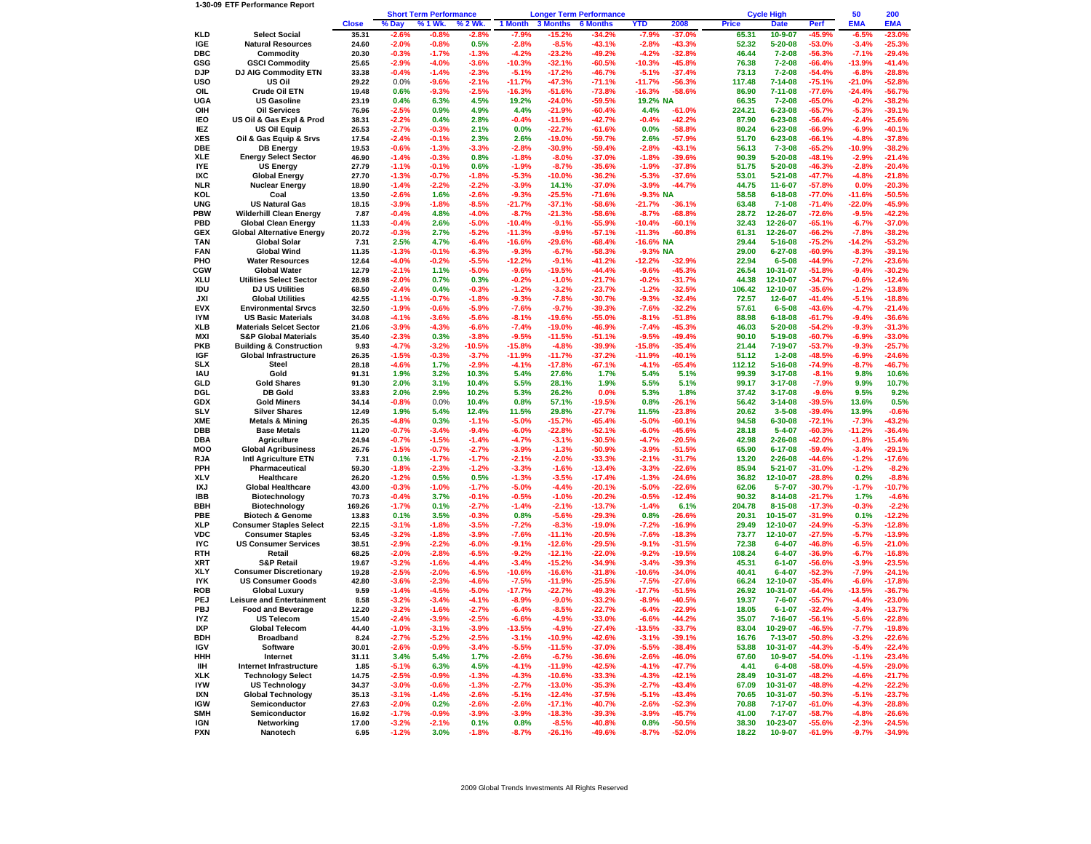## **1-30-09 ETF Performance Report**

|                   |                                                                       |                 |                    | <b>Short Term Performance</b> |                    | <b>Longer Term Performance</b> |                      |                      |                      | <b>Cycle High</b>    | 50              | 200                            |                      |                     |                      |
|-------------------|-----------------------------------------------------------------------|-----------------|--------------------|-------------------------------|--------------------|--------------------------------|----------------------|----------------------|----------------------|----------------------|-----------------|--------------------------------|----------------------|---------------------|----------------------|
|                   |                                                                       | <b>Close</b>    | % Day              | % 1 Wk.                       | 6 2 Wk.            | 1 Month                        | 3 Months             | <b>6 Months</b>      | YTD                  | 2008                 | <b>Price</b>    | <b>Date</b>                    | Perf                 | <b>EMA</b>          | <b>EMA</b>           |
| KLD               | <b>Select Social</b>                                                  | 35.31           | $-2.6%$            | $-0.8%$                       | $-2.8%$            | $-7.9%$                        | $-15.2%$             | $-34.2%$             | $-7.9%$              | $-37.0%$             | 65.31           | 10-9-07                        | -45.9%               | $-6.5%$             | $-23.0%$             |
| IGE               | <b>Natural Resources</b>                                              | 24.60           | $-2.0%$            | $-0.8%$                       | 0.5%               | $-2.8%$                        | $-8.5%$              | $-43.1%$             | $-2.8%$              | $-43.3%$             | 52.32           | $5 - 20 - 08$                  | $-53.0%$             | $-3.4%$             | $-25.3%$             |
| DBC               | Commodity                                                             | 20.30           | $-0.3%$            | $-1.7%$                       | $-1.3%$            | $-4.2%$                        | $-23.2%$             | $-49.2%$             | $-4.2%$              | $-32.8%$             | 46.44           | $7 - 2 - 08$                   | $-56.3%$             | $-7.1%$             | $-29.4%$             |
| GSG               | <b>GSCI Commodity</b>                                                 | 25.65           | $-2.9%$            | $-4.0%$                       | $-3.6%$            | $-10.3%$                       | $-32.1%$             | $-60.5%$             | $-10.3%$             | -45.8%               | 76.38           | $7 - 2 - 08$                   | $-66.4%$             | -13.9%              | $-41.4%$             |
| DJP               | DJ AIG Commodity ETN                                                  | 33.38           | $-0.4%$            | $-1.4%$                       | $-2.3%$            | $-5.1%$                        | $-17.2%$             | $-46.7%$             | $-5.1%$              | $-37.4%$             | 73.13           | $7 - 2 - 08$                   | $-54.4%$             | $-6.8%$             | $-28.8%$             |
| uso<br>OIL        | US Oil<br>Crude Oil ETN                                               | 29.22<br>19.48  | 0.0%<br>0.6%       | $-9.6%$<br>-9.3%              | $-2.1%$<br>$-2.5%$ | $-11.7%$<br>-16.3%             | $-47.3%$<br>$-51.6%$ | $-71.1%$<br>$-73.8%$ | $-11.7%$<br>$-16.3%$ | $-56.3%$<br>$-58.6%$ | 117.48<br>86.90 | $7 - 14 - 08$<br>$7 - 11 - 08$ | $-75.1%$<br>-77.6%   | -21.0%<br>$-24.4%$  | $-52.8%$<br>-56.7%   |
| UGA               | <b>US Gasoline</b>                                                    | 23.19           | 0.4%               | 6.3%                          | 4.5%               | 19.2%                          | $-24.0%$             | $-59.5%$             | 19.2% NA             |                      | 66.35           | $7 - 2 - 08$                   | $-65.0%$             | $-0.2%$             | $-38.2%$             |
| OIH               | <b>Oil Services</b>                                                   | 76.96           | $-2.5%$            | 0.9%                          | 4.9%               | 4.4%                           | $-21.9%$             | $-60.4%$             | 4.4%                 | $-61.0%$             | 224.21          | $6 - 23 - 08$                  | $-65.7%$             | $-5.3%$             | $-39.1%$             |
| IEO               | US Oil & Gas Expl & Prod                                              | 38.31           | $-2.2%$            | 0.4%                          | 2.8%               | $-0.4%$                        | $-11.9%$             | -42.7%               | $-0.4%$              | $-42.2%$             | 87.90           | $6 - 23 - 08$                  | -56.4%               | $-2.4%$             | $-25.6%$             |
| IEZ               | <b>US Oil Equip</b>                                                   | 26.53           | $-2.7%$            | $-0.3%$                       | 2.1%               | 0.0%                           | $-22.7%$             | $-61.6%$             | 0.0%                 | $-58.8%$             | 80.24           | $6 - 23 - 08$                  | $-66.9%$             | $-6.9%$             | $-40.1%$             |
| XES               | Oil & Gas Equip & Srvs                                                | 17.54           | $-2.4%$            | $-0.1%$                       | 2.3%               | 2.6%                           | $-19.0%$             | $-59.7%$             | 2.6%                 | $-57.9%$             | 51.70           | $6 - 23 - 08$                  | $-66.1%$             | $-4.8%$             | $-37.8%$             |
| <b>DBE</b>        | <b>DB Energy</b>                                                      | 19.53           | $-0.6%$            | $-1.3%$                       | $-3.3%$            | $-2.8%$                        | $-30.9%$             | $-59.4%$             | $-2.8%$              | $-43.1%$             | 56.13           | $7 - 3 - 08$                   | $-65.2%$             | -10.9%              | $-38.2%$             |
| XLE               | <b>Energy Select Sector</b>                                           | 46.90           | $-1.4%$            | $-0.3%$                       | 0.8%               | $-1.8%$                        | $-8.0%$              | $-37.0%$             | $-1.8%$              | $-39.6%$             | 90.39           | $5 - 20 - 08$                  | -48.1%               | $-2.9%$             | $-21.4%$             |
| <b>IYE</b><br>IXC | <b>US Energy</b>                                                      | 27.79<br>27.70  | $-1.1%$<br>-1.3%   | $-0.1%$<br>$-0.7%$            | 0.6%<br>$-1.8%$    | $-1.9%$<br>$-5.3%$             | $-8.7%$<br>$-10.0%$  | $-35.6%$<br>$-36.2%$ | $-1.9%$<br>$-5.3%$   | $-37.8%$<br>$-37.6%$ | 51.75<br>53.01  | $5 - 20 - 08$<br>$5 - 21 - 08$ | $-46.3%$<br>-47.7%   | $-2.8%$<br>$-4.8%$  | $-20.4%$<br>-21.8%   |
| NLR               | <b>Global Energy</b><br>Nuclear Energy                                | 18.90           | $-1.4%$            | $-2.2%$                       | $-2.2%$            | $-3.9%$                        | 14.1%                | $-37.0%$             | $-3.9%$              | $-44.7%$             | 44.75           | $11 - 6 - 07$                  | $-57.8%$             | 0.0%                | $-20.3%$             |
| KOL               | Coal                                                                  | 13.50           | $-2.6%$            | 1.6%                          | $-2.6%$            | $-9.3%$                        | $-25.5%$             | $-71.6%$             | -9.3% NA             |                      | 58.58           | $6 - 18 - 08$                  | -77.0%               | -11.6%              | $-50.5%$             |
| UNG               | <b>US Natural Gas</b>                                                 | 18.15           | $-3.9%$            | $-1.8%$                       | $-8.5%$            | $-21.7%$                       | $-37.1%$             | $-58.6%$             | $-21.7%$             | -36.1%               | 63.48           | $7 - 1 - 08$                   | $-71.4%$             | $-22.0%$            | $-45.9%$             |
| PBW               | Wilderhill Clean Energy                                               | 7.87            | $-0.4%$            | 4.8%                          | $-4.0%$            | $-8.7%$                        | $-21.3%$             | $-58.6%$             | $-8.7%$              | $-68.8%$             | 28.72           | 12-26-07                       | $-72.6%$             | $-9.5%$             | $-42.2%$             |
| PBD               | <b>Global Clean Energy</b>                                            | 11.33           | $-0.4%$            | 2.6%                          | $-5.0%$            | $-10.4%$                       | $-9.1%$              | -55.9%               | $-10.4%$             | $-60.1%$             | 32.43           | 12-26-07                       | $-65.1%$             | $-6.7%$             | $-37.0%$             |
| GEX               | <b>Global Alternative Energy</b>                                      | 20.72           | $-0.3%$            | 2.7%                          | $-5.2%$            | $-11.3%$                       | $-9.9%$              | $-57.1%$             | $-11.3%$             | $-60.8%$             | 61.31           | 12-26-07                       | $-66.2%$             | $-7.8%$             | $-38.2%$             |
| TAN               | <b>Global Solar</b>                                                   | 7.31            | 2.5%               | 4.7%                          | $-6.4%$            | $-16.6%$                       | $-29.6%$             | $-68.4%$             | -16.6% NA            |                      | 29.44           | $5 - 16 - 08$                  | $-75.2%$             | $-14.2%$            | $-53.2%$             |
| <b>FAN</b><br>PHO | <b>Global Wind</b><br><b>Water Resources</b>                          | 11.35<br>12.64  | $-1.3%$            | $-0.1%$<br>$-0.2%$            | $-6.3%$<br>$-5.5%$ | $-9.3%$<br>$-12.2%$            | $-6.7%$<br>-9.1%     | $-58.3%$<br>-41.2%   | -9.3% NA<br>$-12.2%$ | $-32.9%$             | 29.00<br>22.94  | $6 - 27 - 08$<br>$6 - 5 - 08$  | -60.9%<br>-44.9%     | $-8.3%$<br>$-7.2%$  | $-39.1%$<br>$-23.6%$ |
| CGW               | <b>Global Water</b>                                                   | 12.79           | -4.0%<br>$-2.1%$   | 1.1%                          | $-5.0%$            | $-9.6%$                        | $-19.5%$             | $-44.4%$             | $-9.6%$              | $-45.3%$             | 26.54           | 10-31-07                       | $-51.8%$             | $-9.4%$             | $-30.2%$             |
| XLU               | <b>Utilities Select Sector</b>                                        | 28.98           | $-2.0%$            | 0.7%                          | 0.3%               | $-0.2%$                        | $-1.0%$              | $-21.7%$             | $-0.2%$              | $-31.7%$             | 44.38           | 12-10-07                       | $-34.7%$             | $-0.6%$             | $-12.4%$             |
| IDU               | DJ US Utilities                                                       | 68.50           | $-2.4%$            | 0.4%                          | $-0.3%$            | $-1.2%$                        | $-3.2%$              | $-23.7%$             | $-1.2%$              | $-32.5%$             | 106.42          | 12-10-07                       | $-35.6%$             | $-1.2%$             | $-13.8%$             |
| JXI               | <b>Global Utilities</b>                                               | 42.55           | $-1.1%$            | $-0.7%$                       | $-1.8%$            | $-9.3%$                        | $-7.8%$              | $-30.7%$             | $-9.3%$              | $-32.4%$             | 72.57           | $12 - 6 - 07$                  | $-41.4%$             | $-5.1%$             | $-18.8%$             |
| EVX               | <b>Environmental Srvcs</b>                                            | 32.50           | $-1.9%$            | $-0.6%$                       | $-5.9%$            | $-7.6%$                        | $-9.7%$              | $-39.3%$             | $-7.6%$              | $-32.2%$             | 57.61           | $6 - 5 - 08$                   | $-43.6%$             | $-4.7%$             | $-21.4%$             |
| <b>IYM</b>        | <b>US Basic Materials</b>                                             | 34.08           | -4.1%              | $-3.6%$                       | $-5.6%$            | $-8.1%$                        | $-19.6%$             | -55.0%               | $-8.1%$              | $-51.8%$             | 88.98           | $6 - 18 - 08$                  | $-61.7%$             | $-9.4%$             | $-36.6%$             |
| XLB               | <b>Materials Selcet Sector</b>                                        | 21.06           | -3.9%              | $-4.3%$                       | $-6.6%$            | $-7.4%$                        | $-19.0%$             | -46.9%               | $-7.4%$              | $-45.3%$             | 46.03           | $5 - 20 - 08$                  | $-54.2%$             | $-9.3%$             | -31.3%               |
| MXI<br>PKB        | <b>S&amp;P Global Materials</b><br><b>Building &amp; Construction</b> | 35.40<br>9.93   | $-2.3%$<br>$-4.7%$ | 0.3%<br>$-3.2%$               | $-3.8%$<br>-10.5%  | $-9.5%$<br>$-15.8%$            | $-11.5%$<br>$-4.8%$  | $-51.1%$<br>$-39.9%$ | $-9.5%$<br>$-15.8%$  | $-49.4%$<br>$-35.4%$ | 90.10<br>21.44  | $5 - 19 - 08$<br>7-19-07       | $-60.7%$<br>$-53.7%$ | $-6.9%$<br>$-9.3%$  | $-33.0%$<br>$-25.7%$ |
| IGF               | <b>Global Infrastructure</b>                                          | 26.35           | -1.5%              | $-0.3%$                       | $-3.7%$            | $-11.9%$                       | $-11.7%$             | $-37.2%$             | $-11.9%$             | -40.1%               | 51.12           | $1 - 2 - 08$                   | -48.5%               | $-6.9%$             | $-24.6%$             |
| SLX               | Steel                                                                 | 28.18           | $-4.6%$            | 1.7%                          | $-2.9%$            | $-4.1%$                        | $-17.8%$             | $-67.1%$             | $-4.1%$              | $-65.4%$             | 112.12          | $5 - 16 - 08$                  | -74.9%               | $-8.7%$             | $-46.7%$             |
| IAU               | Gold                                                                  | 91.31           | 1.9%               | 3.2%                          | 10.3%              | 5.4%                           | 27.6%                | 1.7%                 | 5.4%                 | 5.1%                 | 99.39           | $3 - 17 - 08$                  | $-8.1%$              | 9.8%                | 10.6%                |
| GLD               | <b>Gold Shares</b>                                                    | 91.30           | 2.0%               | 3.1%                          | 10.4%              | 5.5%                           | 28.1%                | 1.9%                 | 5.5%                 | 5.1%                 | 99.17           | $3 - 17 - 08$                  | -7.9%                | 9.9%                | 10.7%                |
| DGL               | <b>DB Gold</b>                                                        | 33.83           | 2.0%               | 2.9%                          | 10.2%              | 5.3%                           | 26.2%                | 0.0%                 | 5.3%                 | 1.8%                 | 37.42           | $3 - 17 - 08$                  | $-9.6%$              | 9.5%                | 9.2%                 |
| GDX               | <b>Gold Miners</b>                                                    | 34.14           | $-0.8%$            | 0.0%                          | 10.4%              | 0.8%                           | 57.1%                | $-19.5%$             | 0.8%                 | $-26.1%$             | 56.42           | $3 - 14 - 08$                  | $-39.5%$             | 13.6%               | 0.5%                 |
| SLV<br>XME        | <b>Silver Shares</b>                                                  | 12.49<br>26.35  | 1.9%<br>$-4.8%$    | 5.4%<br>0.3%                  | 12.4%<br>$-1.1%$   | 11.5%<br>$-5.0%$               | 29.8%<br>$-15.7%$    | $-27.7%$             | 11.5%<br>$-5.0%$     | $-23.8%$<br>$-60.1%$ | 20.62<br>94.58  | $3 - 5 - 08$<br>$6 - 30 - 08$  | $-39.4%$<br>$-72.1%$ | 13.9%<br>$-7.3%$    | $-0.6%$<br>$-43.2%$  |
| DBB               | <b>Metals &amp; Mining</b><br><b>Base Metals</b>                      | 11.20           | $-0.7%$            | $-3.4%$                       | $-9.4%$            | $-6.0%$                        | $-22.8%$             | -65.4%<br>$-52.1%$   | $-6.0%$              | -45.6%               | 28.18           | $5 - 4 - 07$                   | $-60.3%$             | -11.2%              | $-36.4%$             |
| DBA               | <b>Agriculture</b>                                                    | 24.94           | $-0.7%$            | $-1.5%$                       | $-1.4%$            | $-4.7%$                        | $-3.1%$              | $-30.5%$             | $-4.7%$              | -20.5%               | 42.98           | $2 - 26 - 08$                  | $-42.0%$             | $-1.8%$             | $-15.4%$             |
| моо               | <b>Global Agribusiness</b>                                            | 26.76           | $-1.5%$            | $-0.7%$                       | $-2.7%$            | $-3.9%$                        | $-1.3%$              | $-50.9%$             | $-3.9%$              | -51.5%               | 65.90           | $6 - 17 - 08$                  | -59.4%               | $-3.4%$             | $-29.1%$             |
| RJA               | Intl Agriculture ETN                                                  | 7.31            | 0.1%               | $-1.7%$                       | $-1.7%$            | $-2.1%$                        | $-2.0%$              | $-33.3%$             | $-2.1%$              | $-31.7%$             | 13.20           | $2 - 26 - 08$                  | -44.6%               | $-1.2%$             | $-17.6%$             |
| PPH               | Pharmaceutical                                                        | 59.30           | $-1.8%$            | $-2.3%$                       | $-1.2%$            | $-3.3%$                        | $-1.6%$              | $-13.4%$             | $-3.3%$              | $-22.6%$             | 85.94           | $5 - 21 - 07$                  | $-31.0%$             | $-1.2%$             | $-8.2%$              |
| XLV               | Healthcare                                                            | 26.20           | $-1.2%$            | 0.5%                          | 0.5%               | $-1.3%$                        | $-3.5%$              | $-17.4%$             | $-1.3%$              | $-24.6%$             | 36.82           | 12-10-07                       | $-28.8%$             | 0.2%                | $-8.8%$              |
| IXJ               | <b>Global Healthcare</b>                                              | 43.00           | $-0.3%$            | $-1.0%$                       | $-1.7%$            | $-5.0%$                        | $-4.4%$              | $-20.1%$             | $-5.0%$              | $-22.6%$             | 62.06           | $5 - 7 - 07$                   | $-30.7%$             | $-1.7%$             | -10.7%               |
| <b>IBB</b><br>ввн | Biotechnology                                                         | 70.73           | -0.4%              | 3.7%                          | $-0.1%$            | $-0.5%$<br>$-1.4%$             | $-1.0%$<br>$-2.1%$   | $-20.2%$             | $-0.5%$<br>$-1.4%$   | $-12.4%$<br>6.1%     | 90.32<br>204.78 | $8 - 14 - 08$                  | $-21.7%$<br>$-17.3%$ | 1.7%<br>$-0.3%$     | $-4.6%$              |
| PBE               | Biotechnology<br><b>Biotech &amp; Genome</b>                          | 169.26<br>13.83 | -1.7%<br>0.1%      | 0.1%<br>3.5%                  | $-2.7%$<br>$-0.3%$ | 0.8%                           | $-5.6%$              | $-13.7%$<br>$-29.3%$ | 0.8%                 | $-26.6%$             | 20.31           | $8 - 15 - 08$<br>10-15-07      | -31.9%               | 0.1%                | $-2.2%$<br>$-12.2%$  |
| XLP               | <b>Consumer Staples Select</b>                                        | 22.15           | $-3.1%$            | $-1.8%$                       | $-3.5%$            | $-7.2%$                        | $-8.3%$              | $-19.0%$             | $-7.2%$              | $-16.9%$             | 29.49           | 12-10-07                       | -24.9%               | $-5.3%$             | $-12.8%$             |
| VDC               | <b>Consumer Staples</b>                                               | 53.45           | $-3.2%$            | $-1.8%$                       | $-3.9%$            | $-7.6%$                        | $-11.1%$             | $-20.5%$             | $-7.6%$              | $-18.3%$             | 73.77           | 12-10-07                       | $-27.5%$             | $-5.7%$             | $-13.9%$             |
| <b>IYC</b>        | <b>US Consumer Services</b>                                           | 38.51           | $-2.9%$            | $-2.2%$                       | $-6.0%$            | $-9.1%$                        | $-12.6%$             | $-29.5%$             | $-9.1%$              | $-31.5%$             | 72.38           | $6 - 4 - 07$                   | $-46.8%$             | $-6.5%$             | $-21.0%$             |
| RTH               | Retail                                                                | 68.25           | $-2.0%$            | $-2.8%$                       | $-6.5%$            | $-9.2%$                        | $-12.1%$             | $-22.0%$             | $-9.2%$              | $-19.5%$             | 108.24          | $6 - 4 - 07$                   | $-36.9%$             | $-6.7%$             | $-16.8%$             |
| XRT               | <b>S&amp;P Retail</b>                                                 | 19.67           | $-3.2%$            | $-1.6%$                       | -4.4%              | $-3.4%$                        | $-15.2%$             | $-34.9%$             | $-3.4%$              | $-39.3%$             | 45.31           | $6 - 1 - 07$                   | $-56.6%$             | $-3.9%$             | $-23.5%$             |
| XLY               | <b>Consumer Discretionary</b>                                         | 19.28           | $-2.5%$            | $-2.0%$                       | $-6.5%$            | $-10.6%$                       | $-16.6%$             | $-31.8%$             | $-10.6%$             | $-34.0%$             | 40.41           | $6 - 4 - 07$                   | $-52.3%$             | $-7.9%$             | $-24.1%$             |
| IYK<br>ROB        | <b>US Consumer Goods</b><br><b>Global Luxury</b>                      | 42.80<br>9.59   | $-3.6%$<br>-1.4%   | $-2.3%$<br>$-4.5%$            | $-4.6%$<br>$-5.0%$ | $-7.5%$<br>$-17.7%$            | $-11.9%$<br>$-22.7%$ | $-25.5%$<br>-49.3%   | $-7.5%$<br>$-17.7%$  | $-27.6%$<br>-51.5%   | 66.24<br>26.92  | 12-10-07<br>10-31-07           | $-35.4%$<br>-64.4%   | $-6.6%$<br>$-13.5%$ | $-17.8%$<br>$-36.7%$ |
| PEJ               | <b>Leisure and Entertainment</b>                                      | 8.58            | $-3.2%$            | $-3.4%$                       | $-4.1%$            | $-8.9%$                        | $-9.0%$              | $-33.2%$             | $-8.9%$              | -40.5%               | 19.37           | 7-6-07                         | $-55.7%$             | $-4.4%$             | $-23.0%$             |
| PBJ               | <b>Food and Beverage</b>                                              | 12.20           | $-3.2%$            | $-1.6%$                       | $-2.7%$            | $-6.4%$                        | $-8.5%$              | $-22.7%$             | $-6.4%$              | $-22.9%$             | 18.05           | $6 - 1 - 07$                   | $-32.4%$             | $-3.4%$             | $-13.7%$             |
| IYZ.              | <b>US Telecom</b>                                                     | 15.40           | $-2.4%$            | $-3.9%$                       | $-2.5%$            | $-6.6%$                        | -4.9%                | $-33.0%$             | $-6.6%$              | $-44.2%$             | 35.07           | $7 - 16 - 07$                  | $-56.1%$             | $-5.6%$             | $-22.8%$             |
| IXP               | Global Telecom                                                        | 44.40           | -1.0%              | -3.1%                         | -3.9%              | -13.5%                         | -4.9%                | -27.4%               | -13.5%               | -33.7%               | 83.04           | 10-29-07                       | -46.5%               | -7.7%               | $-19.8%$             |
| BDH               | Broadband                                                             | 8.24            | $-2.7%$            | $-5.2%$                       | $-2.5%$            | $-3.1%$                        | $-10.9%$             | $-42.6%$             | $-3.1%$              | $-39.1%$             | 16.76           | $7 - 13 - 07$                  | $-50.8%$             | $-3.2%$             | $-22.6%$             |
| <b>IGV</b>        | Software                                                              | 30.01           | $-2.6%$            | $-0.9%$                       | $-3.4%$            | $-5.5%$                        | $-11.5%$             | $-37.0%$             | $-5.5%$              | $-38.4%$             | 53.88           | 10-31-07                       | $-44.3%$             | $-5.4%$             | $-22.4%$             |
| HHH               | Internet<br>Internet Infrastructure                                   | 31.11           | 3.4%               | 5.4%                          | 1.7%               | $-2.6%$                        | $-6.7%$              | $-36.6%$             | $-2.6%$              | $-46.0%$             | 67.60           | 10-9-07                        | $-54.0%$             | $-1.1%$             | $-23.4%$             |
| IIН<br>XLK        | <b>Technology Select</b>                                              | 1.85<br>14.75   | -5.1%<br>$-2.5%$   | 6.3%<br>$-0.9%$               | 4.5%<br>$-1.3%$    | $-4.1%$<br>$-4.3%$             | $-11.9%$<br>$-10.6%$ | $-42.5%$<br>$-33.3%$ | $-4.1%$<br>$-4.3%$   | $-47.7%$<br>$-42.1%$ | 4.41<br>28.49   | $6 - 4 - 08$<br>10-31-07       | $-58.0%$<br>$-48.2%$ | $-4.5%$<br>$-4.6%$  | $-29.0%$<br>$-21.7%$ |
| IYW               | <b>US Technology</b>                                                  | 34.37           | $-3.0%$            | $-0.6%$                       | $-1.3%$            | $-2.7%$                        | $-13.0%$             | $-35.3%$             | $-2.7%$              | $-43.4%$             | 67.09           | 10-31-07                       | $-48.8%$             | $-4.2%$             | $-22.2%$             |
| IXN               | <b>Global Technology</b>                                              | 35.13           | $-3.1%$            | $-1.4%$                       | $-2.6%$            | $-5.1%$                        | $-12.4%$             | $-37.5%$             | $-5.1%$              | $-43.4%$             | 70.65           | 10-31-07                       | $-50.3%$             | $-5.1%$             | $-23.7%$             |
| IGW               | Semiconductor                                                         | 27.63           | $-2.0%$            | 0.2%                          | $-2.6%$            | $-2.6%$                        | $-17.1%$             | $-40.7%$             | $-2.6%$              | $-52.3%$             | 70.88           | 7-17-07                        | $-61.0%$             | $-4.3%$             | $-28.8%$             |
| SMH               | Semiconductor                                                         | 16.92           | $-1.7%$            | $-0.9%$                       | $-3.9%$            | $-3.9%$                        | $-18.3%$             | $-39.3%$             | $-3.9%$              | $-45.7%$             | 41.00           | 7-17-07                        | $-58.7%$             | $-4.8%$             | $-26.6%$             |
| IGN               | Networking                                                            | 17.00           | $-3.2%$            | $-2.1%$                       | 0.1%               | 0.8%                           | $-8.5%$              | $-40.8%$             | 0.8%                 | $-50.5%$             | 38.30           | 10-23-07                       | $-55.6%$             | $-2.3%$             | $-24.5%$             |
| <b>PXN</b>        | Nanotech                                                              | 6.95            | $-1.2%$            | 3.0%                          | $-1.8%$            | $-8.7%$                        | $-26.1%$             | $-49.6%$             | $-8.7%$              | $-52.0%$             | 18.22           | 10-9-07                        | $-61.9%$             | $-9.7%$             | $-34.9%$             |